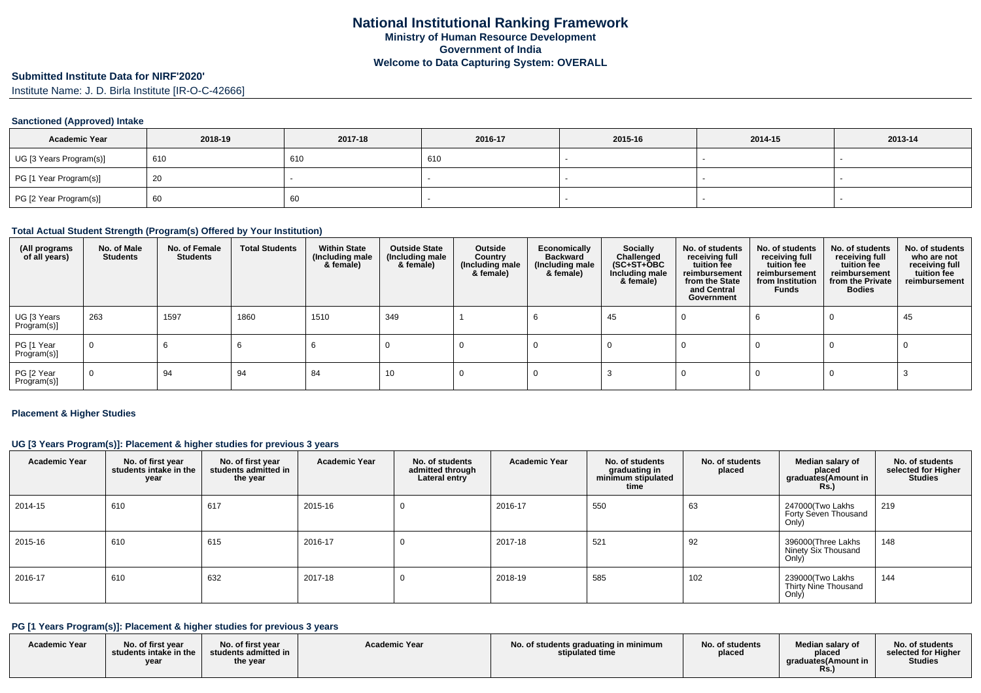### **Submitted Institute Data for NIRF'2020'**

Institute Name: J. D. Birla Institute [IR-O-C-42666]

## **Sanctioned (Approved) Intake**

| <b>Academic Year</b>    | 2018-19 | 2017-18 | 2016-17 | 2015-16 | 2014-15 | 2013-14 |
|-------------------------|---------|---------|---------|---------|---------|---------|
| UG [3 Years Program(s)] | 610     | 610     | 610     |         |         |         |
| PG [1 Year Program(s)]  | 20      |         |         |         |         |         |
| PG [2 Year Program(s)]  | 60      | 60      |         |         |         |         |

### **Total Actual Student Strength (Program(s) Offered by Your Institution)**

| (All programs<br>of all years) | No. of Male<br><b>Students</b> | No. of Female<br><b>Students</b> | <b>Total Students</b> | <b>Within State</b><br>(Including male<br>& female) | <b>Outside State</b><br>(Including male<br>& female) | Outside<br>Country<br>(Including male<br>& female) | Economically<br><b>Backward</b><br>(Including male<br>& female) | Socially<br>Challenged<br>$(SC+ST+OBC)$<br>Including male<br>& female) | No. of students<br>receiving full<br>tuition fee<br>reimbursement<br>from the State<br>and Central<br>Government | No. of students<br>receiving full<br>tuition fee<br>reimbursement<br>from Institution<br>Funds | No. of students<br>receiving full<br>tuition fee<br>reimbursement<br>from the Private<br><b>Bodies</b> | No. of students<br>who are not<br>receiving full<br>tuition fee<br>reimbursement |
|--------------------------------|--------------------------------|----------------------------------|-----------------------|-----------------------------------------------------|------------------------------------------------------|----------------------------------------------------|-----------------------------------------------------------------|------------------------------------------------------------------------|------------------------------------------------------------------------------------------------------------------|------------------------------------------------------------------------------------------------|--------------------------------------------------------------------------------------------------------|----------------------------------------------------------------------------------|
| UG [3 Years<br>Program(s)]     | 263                            | 1597                             | 1860                  | 1510                                                | 349                                                  |                                                    |                                                                 | 45                                                                     |                                                                                                                  |                                                                                                |                                                                                                        | 45                                                                               |
| PG [1 Year<br>Program(s)]      | $\mathbf 0$                    | b                                |                       |                                                     |                                                      |                                                    |                                                                 |                                                                        |                                                                                                                  |                                                                                                |                                                                                                        |                                                                                  |
| PG [2 Year<br>Program(s)]      | $\mathbf 0$                    | 94                               | 94                    | 84                                                  | 10                                                   |                                                    |                                                                 |                                                                        |                                                                                                                  |                                                                                                |                                                                                                        |                                                                                  |

#### **Placement & Higher Studies**

### **UG [3 Years Program(s)]: Placement & higher studies for previous 3 years**

| <b>Academic Year</b> | No. of first year<br>students intake in the<br>year | No. of first year<br>students admitted in<br>the year | <b>Academic Year</b> | No. of students<br>admitted through<br>Lateral entry | <b>Academic Year</b> | No. of students<br>graduating in<br>minimum stipulated<br>time | No. of students<br>placed | Median salary of<br>placed<br>graduates(Amount in<br><b>Rs.)</b> | No. of students<br>selected for Higher<br><b>Studies</b> |
|----------------------|-----------------------------------------------------|-------------------------------------------------------|----------------------|------------------------------------------------------|----------------------|----------------------------------------------------------------|---------------------------|------------------------------------------------------------------|----------------------------------------------------------|
| 2014-15              | 610                                                 | 617                                                   | 2015-16              |                                                      | 2016-17              | 550                                                            | 63                        | 247000(Two Lakhs<br>Forty Seven Thousand<br>Only)                | 219                                                      |
| 2015-16              | 610                                                 | 615                                                   | 2016-17              |                                                      | 2017-18              | 521                                                            | 92                        | 396000(Three Lakhs<br>Ninety Six Thousand<br>Only)               | 148                                                      |
| 2016-17              | 610                                                 | 632                                                   | 2017-18              |                                                      | 2018-19              | 585                                                            | 102                       | 239000(Two Lakhs<br>Thirty Nine Thousand<br>Only)                | 144                                                      |

## **PG [1 Years Program(s)]: Placement & higher studies for previous 3 years**

| <b>Academic Year</b> | No. of first vear<br>students intake in the<br>year | No. of first year<br>students admitted in<br>the year | <b>Academic Year</b> | No. of students graduating in minimum<br>stipulated time | No. of students<br>placed | Median salary of<br>placed<br>araduates (Amount in<br>Rs. | No. of students<br>selected for Higher<br><b>Studies</b> |
|----------------------|-----------------------------------------------------|-------------------------------------------------------|----------------------|----------------------------------------------------------|---------------------------|-----------------------------------------------------------|----------------------------------------------------------|
|----------------------|-----------------------------------------------------|-------------------------------------------------------|----------------------|----------------------------------------------------------|---------------------------|-----------------------------------------------------------|----------------------------------------------------------|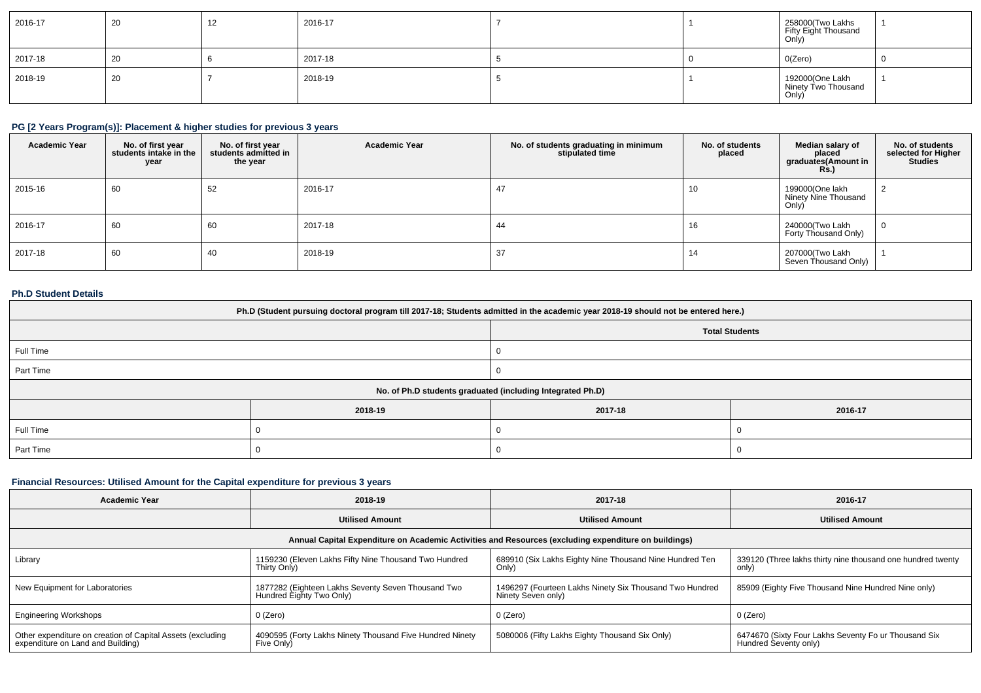| 2016-17 | 20 | $\Delta$ | 2016-17 |  | 258000(Two Lakhs<br>Fifty Eight Thousand<br>Only) |  |
|---------|----|----------|---------|--|---------------------------------------------------|--|
| 2017-18 | 20 |          | 2017-18 |  | 0(Zero)                                           |  |
| 2018-19 | 20 |          | 2018-19 |  | 192000(One Lakh<br>Ninety Two Thousand<br>Only)   |  |

## **PG [2 Years Program(s)]: Placement & higher studies for previous 3 years**

| <b>Academic Year</b> | No. of first year<br>students intake in the<br>year | No. of first year<br>students admitted in<br>the year | <b>Academic Year</b> | No. of students graduating in minimum<br>stipulated time | No. of students<br>placed | Median salary of<br>placed<br>graduates(Amount in<br><b>Rs.)</b> | No. of students<br>selected for Higher<br><b>Studies</b> |
|----------------------|-----------------------------------------------------|-------------------------------------------------------|----------------------|----------------------------------------------------------|---------------------------|------------------------------------------------------------------|----------------------------------------------------------|
| 2015-16              | 60                                                  | 52                                                    | 2016-17              |                                                          | 10                        | 199000(One lakh<br>Ninety Nine Thousand<br>Only)                 |                                                          |
| 2016-17              | 60                                                  | 60                                                    | 2017-18              | 44                                                       | ıь                        | 240000(Two Lakh<br>Forty Thousand Only)                          |                                                          |
| 2017-18              | 60                                                  | 40                                                    | 2018-19              | 37                                                       |                           | 207000(Two Lakh<br>Seven Thousand Only)                          |                                                          |

## **Ph.D Student Details**

| Ph.D (Student pursuing doctoral program till 2017-18; Students admitted in the academic year 2018-19 should not be entered here.) |                                                            |         |         |  |  |  |
|-----------------------------------------------------------------------------------------------------------------------------------|------------------------------------------------------------|---------|---------|--|--|--|
| <b>Total Students</b>                                                                                                             |                                                            |         |         |  |  |  |
| Full Time                                                                                                                         |                                                            |         |         |  |  |  |
| Part Time                                                                                                                         |                                                            |         |         |  |  |  |
|                                                                                                                                   | No. of Ph.D students graduated (including Integrated Ph.D) |         |         |  |  |  |
|                                                                                                                                   | 2018-19                                                    | 2017-18 | 2016-17 |  |  |  |
| Full Time                                                                                                                         |                                                            |         |         |  |  |  |
| Part Time                                                                                                                         |                                                            |         |         |  |  |  |

## **Financial Resources: Utilised Amount for the Capital expenditure for previous 3 years**

| <b>Academic Year</b>                                                                            | 2018-19                                                                        | 2017-18                                                                                              | 2016-17                                                                       |
|-------------------------------------------------------------------------------------------------|--------------------------------------------------------------------------------|------------------------------------------------------------------------------------------------------|-------------------------------------------------------------------------------|
|                                                                                                 | <b>Utilised Amount</b>                                                         | <b>Utilised Amount</b>                                                                               | <b>Utilised Amount</b>                                                        |
|                                                                                                 |                                                                                | Annual Capital Expenditure on Academic Activities and Resources (excluding expenditure on buildings) |                                                                               |
| Library                                                                                         | 1159230 (Eleven Lakhs Fifty Nine Thousand Two Hundred<br>Thirty Only)          | 689910 (Six Lakhs Eighty Nine Thousand Nine Hundred Ten<br>Only)                                     | 339120 (Three lakhs thirty nine thousand one hundred twenty<br>only)          |
| New Equipment for Laboratories                                                                  | 1877282 (Eighteen Lakhs Seventy Seven Thousand Two<br>Hundred Eighty Two Only) | 1496297 (Fourteen Lakhs Ninety Six Thousand Two Hundred<br>Ninety Seven only)                        | 85909 (Eighty Five Thousand Nine Hundred Nine only)                           |
| <b>Engineering Workshops</b>                                                                    | $0$ (Zero)                                                                     | 0 (Zero)                                                                                             | 0 (Zero)                                                                      |
| Other expenditure on creation of Capital Assets (excluding<br>expenditure on Land and Building) | 4090595 (Forty Lakhs Ninety Thousand Five Hundred Ninety<br>Five Only)         | 5080006 (Fifty Lakhs Eighty Thousand Six Only)                                                       | 6474670 (Sixty Four Lakhs Seventy Fo ur Thousand Six<br>Hundred Seventy only) |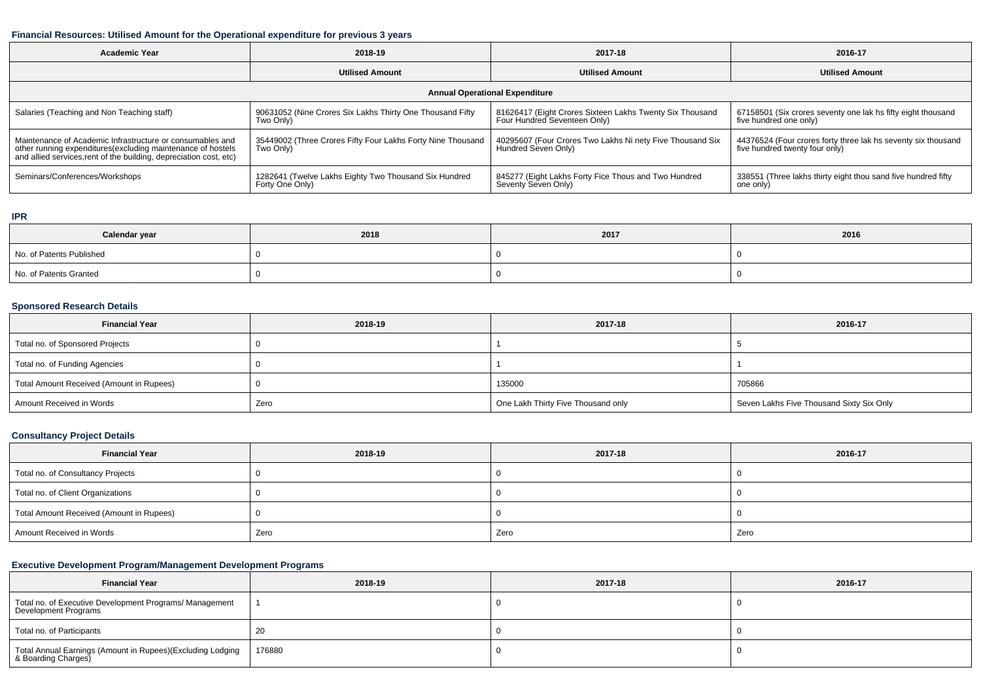## **Financial Resources: Utilised Amount for the Operational expenditure for previous 3 years**

| <b>Academic Year</b>                                                                                                                                                                           | 2018-19                                                                  | 2017-18                                                                                  | 2016-17                                                                                         |  |  |  |  |  |
|------------------------------------------------------------------------------------------------------------------------------------------------------------------------------------------------|--------------------------------------------------------------------------|------------------------------------------------------------------------------------------|-------------------------------------------------------------------------------------------------|--|--|--|--|--|
|                                                                                                                                                                                                | <b>Utilised Amount</b>                                                   | <b>Utilised Amount</b>                                                                   | <b>Utilised Amount</b>                                                                          |  |  |  |  |  |
|                                                                                                                                                                                                | <b>Annual Operational Expenditure</b>                                    |                                                                                          |                                                                                                 |  |  |  |  |  |
| Salaries (Teaching and Non Teaching staff)                                                                                                                                                     | 90631052 (Nine Crores Six Lakhs Thirty One Thousand Fifty<br>Two Only)   | 81626417 (Eight Crores Sixteen Lakhs Twenty Six Thousand<br>Four Hundred Seventeen Only) | 67158501 (Six crores seventy one lak hs fifty eight thousand<br>five hundred one only)          |  |  |  |  |  |
| Maintenance of Academic Infrastructure or consumables and<br>other running expenditures(excluding maintenance of hostels<br>and allied services, rent of the building, depreciation cost, etc) | 35449002 (Three Crores Fifty Four Lakhs Forty Nine Thousand<br>Two Only) | 40295607 (Four Crores Two Lakhs Ni nety Five Thousand Six<br>Hundred Seven Only)         | 44376524 (Four crores forty three lak hs seventy six thousand<br>five hundred twenty four only) |  |  |  |  |  |
| Seminars/Conferences/Workshops                                                                                                                                                                 | 1282641 (Twelve Lakhs Eighty Two Thousand Six Hundred<br>Forty One Only) | 845277 (Eight Lakhs Forty Fice Thous and Two Hundred<br>Seventy Seven Only)              | 338551 (Three lakhs thirty eight thou sand five hundred fifty<br>one only)                      |  |  |  |  |  |

#### **IPR**

| Calendar year            | 2018 | 2017 | 2016 |
|--------------------------|------|------|------|
| No. of Patents Published |      |      |      |
| No. of Patents Granted   |      |      |      |

## **Sponsored Research Details**

| <b>Financial Year</b>                    | 2018-19 | 2017-18                            | 2016-17                                  |
|------------------------------------------|---------|------------------------------------|------------------------------------------|
| Total no. of Sponsored Projects          |         |                                    |                                          |
| Total no. of Funding Agencies            |         |                                    |                                          |
| Total Amount Received (Amount in Rupees) |         | 135000                             | 705866                                   |
| Amount Received in Words                 | Zero    | One Lakh Thirty Five Thousand only | Seven Lakhs Five Thousand Sixty Six Only |

## **Consultancy Project Details**

| <b>Financial Year</b>                    | 2018-19 | 2017-18 | 2016-17 |
|------------------------------------------|---------|---------|---------|
| Total no. of Consultancy Projects        |         |         |         |
| Total no. of Client Organizations        |         |         |         |
| Total Amount Received (Amount in Rupees) |         |         |         |
| Amount Received in Words                 | Zero    | Zero    | Zero    |

## **Executive Development Program/Management Development Programs**

| <b>Financial Year</b>                                                            | 2018-19 | 2017-18 | 2016-17 |  |
|----------------------------------------------------------------------------------|---------|---------|---------|--|
| Total no. of Executive Development Programs/ Management<br>Development Programs  |         |         |         |  |
| Total no. of Participants                                                        | 20      |         |         |  |
| Total Annual Earnings (Amount in Rupees)(Excluding Lodging<br>8 Boarding Charges | 176880  |         |         |  |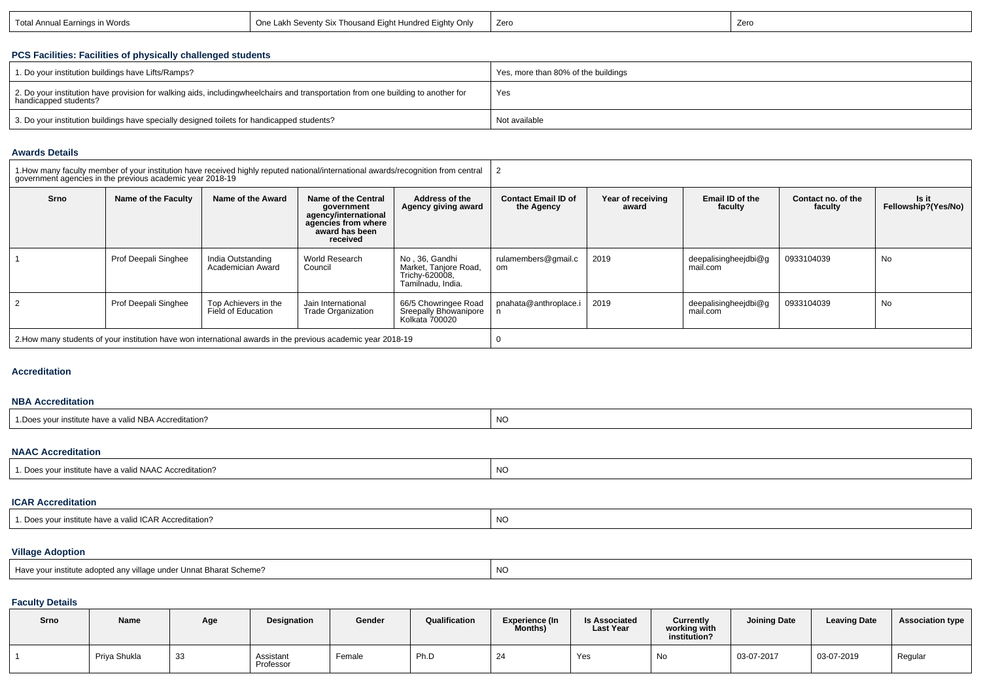| in Words<br>Total Annual Earning | Eighty Only<br>--<br>. Fiaht H<br>. ∟akh Sevent∨ Six <sup>∽</sup><br>indrad<br>$\sim$<br>$.$ ( ) no. $^\circ$<br>nousang t<br>люнес | Zero | Zero |
|----------------------------------|-------------------------------------------------------------------------------------------------------------------------------------|------|------|
|----------------------------------|-------------------------------------------------------------------------------------------------------------------------------------|------|------|

## **PCS Facilities: Facilities of physically challenged students**

| 1. Do your institution buildings have Lifts/Ramps?                                                                                                        | Yes, more than 80% of the buildings |
|-----------------------------------------------------------------------------------------------------------------------------------------------------------|-------------------------------------|
| 2. Do your institution have provision for walking aids, includingwheelchairs and transportation from one building to another for<br>handicapped students? | Yes                                 |
| 3. Do your institution buildings have specially designed toilets for handicapped students?                                                                | Not available                       |

## **Awards Details**

|      | government agencies in the previous academic year 2018-19 |                                            | 1. How many faculty member of your institution have received highly reputed national/international awards/recognition from central |                                                                                |                                          |                            |                                  |                               |                              |  |
|------|-----------------------------------------------------------|--------------------------------------------|------------------------------------------------------------------------------------------------------------------------------------|--------------------------------------------------------------------------------|------------------------------------------|----------------------------|----------------------------------|-------------------------------|------------------------------|--|
| Srno | Name of the Faculty                                       | Name of the Award                          | Name of the Central<br>government<br>agency/international<br>agencies from where<br>award has been<br>received                     | Address of the<br>Agency giving award                                          | <b>Contact Email ID of</b><br>the Agency | Year of receiving<br>award | Email ID of the<br>faculty       | Contact no. of the<br>faculty | Is it<br>Fellowship?(Yes/No) |  |
|      | Prof Deepali Singhee                                      | India Outstanding<br>Academician Award     | <b>World Research</b><br>Council                                                                                                   | No, 36, Gandhi<br>Market, Tanjore Road,<br>Trichy-620008,<br>Tamilnadu, India. | rulamembers@gmail.c<br>om                | 2019                       | deepalisingheejdbi@g<br>mail.com | 0933104039                    | No                           |  |
|      | Prof Deepali Singhee                                      | Top Achievers in the<br>Field of Education | Jain International<br><b>Trade Organization</b>                                                                                    | 66/5 Chowringee Road<br>Sreepally Bhowanipore<br>Kolkata 700020                | pnahata@anthroplace.i                    | 2019                       | deepalisingheejdbi@g<br>mail.com | 0933104039                    | No                           |  |
|      |                                                           |                                            | 2. How many students of your institution have won international awards in the previous academic year 2018-19                       |                                                                                |                                          |                            |                                  |                               |                              |  |

### **Accreditation**

### **NBA Accreditation**

| `ccreditation?<br><b>Institute</b><br>' vallu<br>A<br>INDA<br>. Iavee | NO |
|-----------------------------------------------------------------------|----|
|                                                                       |    |

## **NAAC Accreditation**

| <sup>1</sup> . Does your institute have a valid NAAC Accreditation? | <b>NC</b> |
|---------------------------------------------------------------------|-----------|
|---------------------------------------------------------------------|-----------|

## **ICAR Accreditation**

| 1. Does your institute have a valid ICAR Accreditation? | <b>NC</b> |
|---------------------------------------------------------|-----------|
|---------------------------------------------------------|-----------|

# **Village Adoption**

| /illage under Unnat Bhara<br>at Bharat Scheme?<br>: adopted any villa<br>∵ На∨⊢<br>istitute | N/C<br>ـا ۱ |
|---------------------------------------------------------------------------------------------|-------------|
|                                                                                             |             |

## **Faculty Details**

| Srno | <b>Name</b>  | Age | Designation            | Gender | Qualification | <b>Experience (In</b><br>Months) | <b>Is Associated</b><br><b>Last Year</b> | Currently<br>working with<br>institution? | <b>Joining Date</b> | <b>Leaving Date</b> | <b>Association type</b> |
|------|--------------|-----|------------------------|--------|---------------|----------------------------------|------------------------------------------|-------------------------------------------|---------------------|---------------------|-------------------------|
|      | Priya Shukla | 33  | Assistant<br>Professor | Female | Ph.D          | 24                               | Yes                                      | No                                        | 03-07-2017          | 03-07-2019          | Regular                 |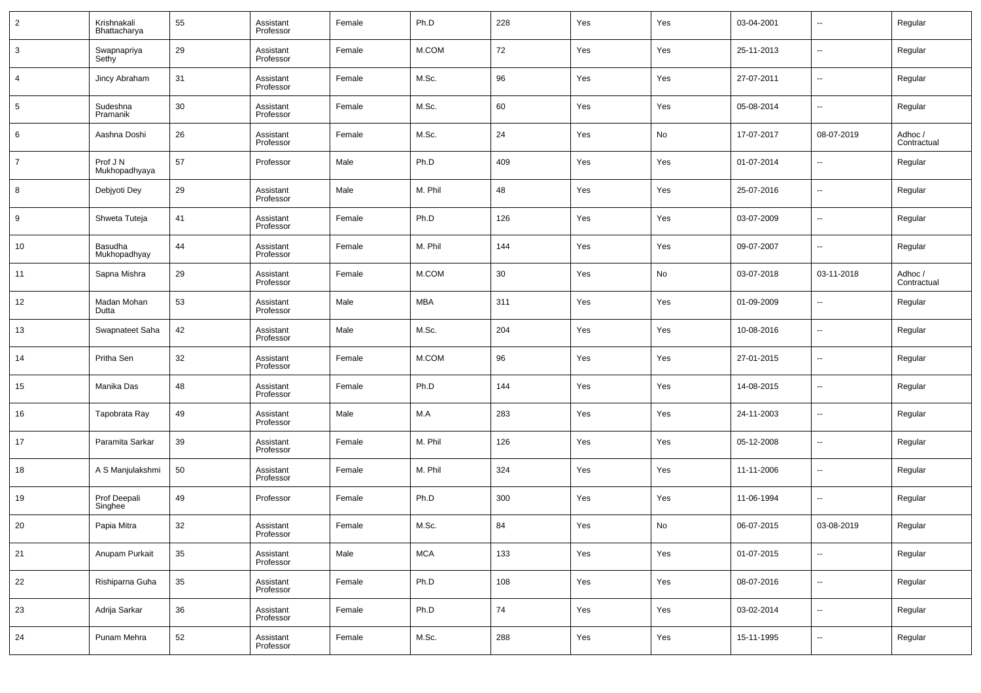| $\overline{2}$ | Krishnakali<br>Bhattacharya | 55     | Assistant<br>Professor | Female | Ph.D       | 228 | Yes | Yes | 03-04-2001 | $\overline{\phantom{a}}$ | Regular                |
|----------------|-----------------------------|--------|------------------------|--------|------------|-----|-----|-----|------------|--------------------------|------------------------|
| 3              | Swapnapriya<br>Sethy        | 29     | Assistant<br>Professor | Female | M.COM      | 72  | Yes | Yes | 25-11-2013 | $\overline{\phantom{a}}$ | Regular                |
| 4              | Jincy Abraham               | 31     | Assistant<br>Professor | Female | M.Sc.      | 96  | Yes | Yes | 27-07-2011 | $\overline{\phantom{a}}$ | Regular                |
| 5              | Sudeshna<br>Pramanik        | 30     | Assistant<br>Professor | Female | M.Sc.      | 60  | Yes | Yes | 05-08-2014 | $\overline{\phantom{a}}$ | Regular                |
| 6              | Aashna Doshi                | 26     | Assistant<br>Professor | Female | M.Sc.      | 24  | Yes | No  | 17-07-2017 | 08-07-2019               | Adhoc /<br>Contractual |
| 7              | Prof J N<br>Mukhopadhyaya   | 57     | Professor              | Male   | Ph.D       | 409 | Yes | Yes | 01-07-2014 | $\overline{\phantom{a}}$ | Regular                |
| 8              | Debjyoti Dey                | 29     | Assistant<br>Professor | Male   | M. Phil    | 48  | Yes | Yes | 25-07-2016 | $\overline{\phantom{a}}$ | Regular                |
| 9              | Shweta Tuteja               | 41     | Assistant<br>Professor | Female | Ph.D       | 126 | Yes | Yes | 03-07-2009 | $\overline{\phantom{a}}$ | Regular                |
| 10             | Basudha<br>Mukhopadhyay     | 44     | Assistant<br>Professor | Female | M. Phil    | 144 | Yes | Yes | 09-07-2007 | $\sim$                   | Regular                |
| 11             | Sapna Mishra                | 29     | Assistant<br>Professor | Female | M.COM      | 30  | Yes | No  | 03-07-2018 | 03-11-2018               | Adhoc /<br>Contractual |
| 12             | Madan Mohan<br>Dutta        | 53     | Assistant<br>Professor | Male   | MBA        | 311 | Yes | Yes | 01-09-2009 | $\overline{\phantom{a}}$ | Regular                |
| 13             | Swapnateet Saha             | 42     | Assistant<br>Professor | Male   | M.Sc.      | 204 | Yes | Yes | 10-08-2016 | $\overline{\phantom{a}}$ | Regular                |
| 14             | Pritha Sen                  | 32     | Assistant<br>Professor | Female | M.COM      | 96  | Yes | Yes | 27-01-2015 | $\overline{\phantom{a}}$ | Regular                |
| 15             | Manika Das                  | 48     | Assistant<br>Professor | Female | Ph.D       | 144 | Yes | Yes | 14-08-2015 | $\sim$                   | Regular                |
| 16             | Tapobrata Ray               | 49     | Assistant<br>Professor | Male   | M.A        | 283 | Yes | Yes | 24-11-2003 | $\overline{\phantom{a}}$ | Regular                |
| 17             | Paramita Sarkar             | 39     | Assistant<br>Professor | Female | M. Phil    | 126 | Yes | Yes | 05-12-2008 | $\sim$                   | Regular                |
| 18             | A S Manjulakshmi            | 50     | Assistant<br>Professor | Female | M. Phil    | 324 | Yes | Yes | 11-11-2006 | $\sim$                   | Regular                |
| 19             | Prof Deepali<br>Singhee     | 49     | Professor              | Female | Ph.D       | 300 | Yes | Yes | 11-06-1994 | $\sim$                   | Regular                |
| 20             | Papia Mitra                 | 32     | Assistant<br>Professor | Female | M.Sc.      | 84  | Yes | No  | 06-07-2015 | 03-08-2019               | Regular                |
| 21             | Anupam Purkait              | $35\,$ | Assistant<br>Professor | Male   | <b>MCA</b> | 133 | Yes | Yes | 01-07-2015 | $\overline{\phantom{a}}$ | Regular                |
| 22             | Rishiparna Guha             | 35     | Assistant<br>Professor | Female | Ph.D       | 108 | Yes | Yes | 08-07-2016 | $\overline{\phantom{a}}$ | Regular                |
| 23             | Adrija Sarkar               | 36     | Assistant<br>Professor | Female | Ph.D       | 74  | Yes | Yes | 03-02-2014 | $\overline{\phantom{a}}$ | Regular                |
| 24             | Punam Mehra                 | 52     | Assistant<br>Professor | Female | M.Sc.      | 288 | Yes | Yes | 15-11-1995 | $\sim$                   | Regular                |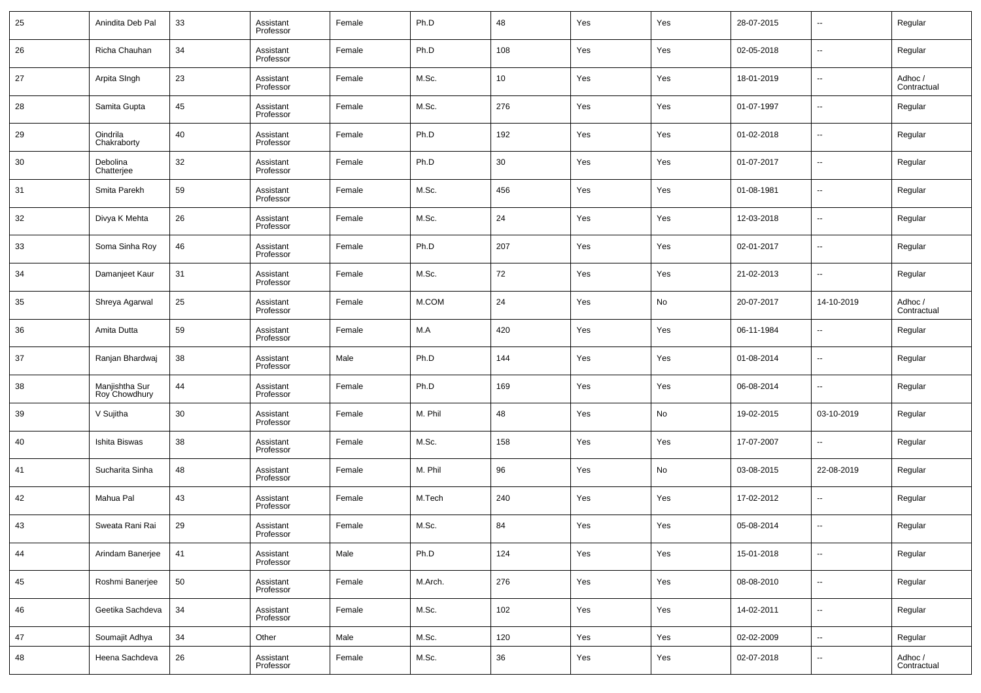| 25 | Anindita Deb Pal                | 33 | Assistant<br>Professor | Female | Ph.D    | 48  | Yes | Yes | 28-07-2015 | --                       | Regular                |
|----|---------------------------------|----|------------------------|--------|---------|-----|-----|-----|------------|--------------------------|------------------------|
| 26 | Richa Chauhan                   | 34 | Assistant<br>Professor | Female | Ph.D    | 108 | Yes | Yes | 02-05-2018 | --                       | Regular                |
| 27 | Arpita SIngh                    | 23 | Assistant<br>Professor | Female | M.Sc.   | 10  | Yes | Yes | 18-01-2019 | ш.                       | Adhoc /<br>Contractual |
| 28 | Samita Gupta                    | 45 | Assistant<br>Professor | Female | M.Sc.   | 276 | Yes | Yes | 01-07-1997 | --                       | Regular                |
| 29 | Oindrila<br>Chakraborty         | 40 | Assistant<br>Professor | Female | Ph.D    | 192 | Yes | Yes | 01-02-2018 | ш.                       | Regular                |
| 30 | Debolina<br>Chatterjee          | 32 | Assistant<br>Professor | Female | Ph.D    | 30  | Yes | Yes | 01-07-2017 | --                       | Regular                |
| 31 | Smita Parekh                    | 59 | Assistant<br>Professor | Female | M.Sc.   | 456 | Yes | Yes | 01-08-1981 | ш.                       | Regular                |
| 32 | Divya K Mehta                   | 26 | Assistant<br>Professor | Female | M.Sc.   | 24  | Yes | Yes | 12-03-2018 | --                       | Regular                |
| 33 | Soma Sinha Roy                  | 46 | Assistant<br>Professor | Female | Ph.D    | 207 | Yes | Yes | 02-01-2017 | ш.                       | Regular                |
| 34 | Damanjeet Kaur                  | 31 | Assistant<br>Professor | Female | M.Sc.   | 72  | Yes | Yes | 21-02-2013 | ш.                       | Regular                |
| 35 | Shreya Agarwal                  | 25 | Assistant<br>Professor | Female | M.COM   | 24  | Yes | No  | 20-07-2017 | 14-10-2019               | Adhoc /<br>Contractual |
| 36 | Amita Dutta                     | 59 | Assistant<br>Professor | Female | M.A     | 420 | Yes | Yes | 06-11-1984 | --                       | Regular                |
| 37 | Ranjan Bhardwaj                 | 38 | Assistant<br>Professor | Male   | Ph.D    | 144 | Yes | Yes | 01-08-2014 | ш.                       | Regular                |
| 38 | Manjishtha Sur<br>Roy Chowdhury | 44 | Assistant<br>Professor | Female | Ph.D    | 169 | Yes | Yes | 06-08-2014 | --                       | Regular                |
| 39 | V Sujitha                       | 30 | Assistant<br>Professor | Female | M. Phil | 48  | Yes | No  | 19-02-2015 | 03-10-2019               | Regular                |
| 40 | Ishita Biswas                   | 38 | Assistant<br>Professor | Female | M.Sc.   | 158 | Yes | Yes | 17-07-2007 | --                       | Regular                |
| 41 | Sucharita Sinha                 | 48 | Assistant<br>Professor | Female | M. Phil | 96  | Yes | No  | 03-08-2015 | 22-08-2019               | Regular                |
| 42 | Mahua Pal                       | 43 | Assistant<br>Professor | Female | M.Tech  | 240 | Yes | Yes | 17-02-2012 | --                       | Regular                |
| 43 | Sweata Rani Rai                 | 29 | Assistant<br>Professor | Female | M.Sc.   | 84  | Yes | Yes | 05-08-2014 | $\overline{a}$           | Regular                |
| 44 | Arindam Banerjee                | 41 | Assistant<br>Professor | Male   | Ph.D    | 124 | Yes | Yes | 15-01-2018 | $\sim$                   | Regular                |
| 45 | Roshmi Banerjee                 | 50 | Assistant<br>Professor | Female | M.Arch. | 276 | Yes | Yes | 08-08-2010 | $\overline{\phantom{a}}$ | Regular                |
| 46 | Geetika Sachdeva                | 34 | Assistant<br>Professor | Female | M.Sc.   | 102 | Yes | Yes | 14-02-2011 | $\overline{\phantom{a}}$ | Regular                |
| 47 | Soumajit Adhya                  | 34 | Other                  | Male   | M.Sc.   | 120 | Yes | Yes | 02-02-2009 | $\overline{\phantom{a}}$ | Regular                |
| 48 | Heena Sachdeva                  | 26 | Assistant<br>Professor | Female | M.Sc.   | 36  | Yes | Yes | 02-07-2018 | н.                       | Adhoc /<br>Contractual |